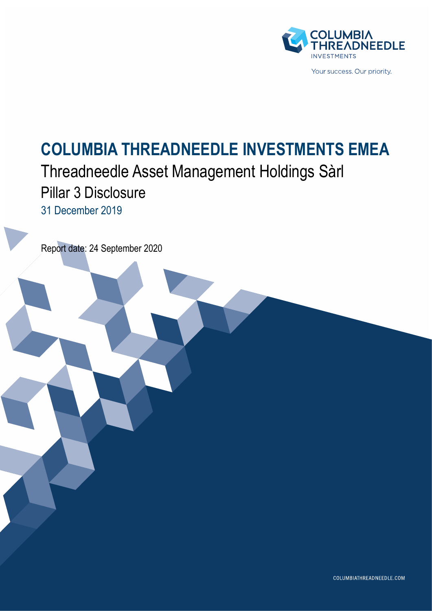

# **COLUMBIA THREADNEEDLE INVESTMENTS EMEA**

## Threadneedle Asset Management Holdings Sàrl Pillar 3 Disclosure 31 December 2019

Report date: 24 September 2020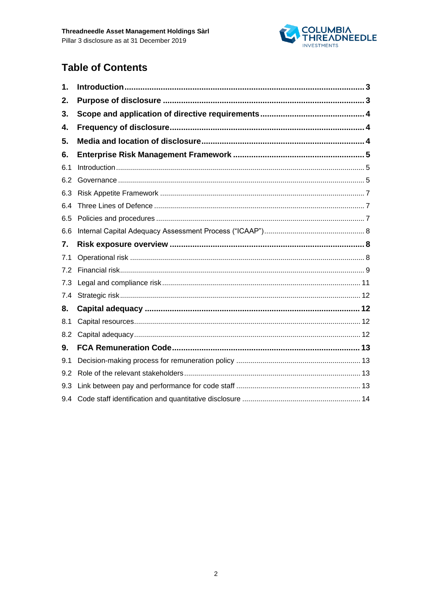

## **Table of Contents**

| 1.  |  |
|-----|--|
| 2.  |  |
| 3.  |  |
| 4.  |  |
| 5.  |  |
| 6.  |  |
| 6.1 |  |
| 6.2 |  |
| 6.3 |  |
| 6.4 |  |
| 6.5 |  |
| 6.6 |  |
| 7.  |  |
| 7.1 |  |
| 7.2 |  |
| 7.3 |  |
| 7.4 |  |
| 8.  |  |
| 8.1 |  |
| 8.2 |  |
| 9.  |  |
| 9.1 |  |
| 9.2 |  |
| 9.3 |  |
| 9.4 |  |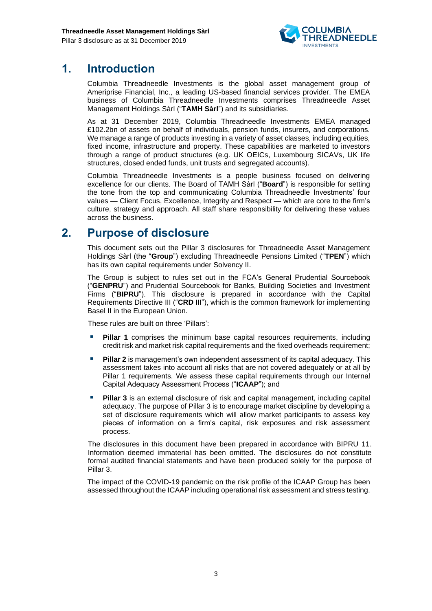

## <span id="page-2-0"></span>**1. Introduction**

Columbia Threadneedle Investments is the global asset management group of Ameriprise Financial, Inc., a leading US-based financial services provider. The EMEA business of Columbia Threadneedle Investments comprises Threadneedle Asset Management Holdings Sàrl ("**TAMH Sàrl**") and its subsidiaries.

As at 31 December 2019, Columbia Threadneedle Investments EMEA managed £102.2bn of assets on behalf of individuals, pension funds, insurers, and corporations. We manage a range of products investing in a variety of asset classes, including equities, fixed income, infrastructure and property. These capabilities are marketed to investors through a range of product structures (e.g. UK OEICs, Luxembourg SICAVs, UK life structures, closed ended funds, unit trusts and segregated accounts).

Columbia Threadneedle Investments is a people business focused on delivering excellence for our clients. The Board of TAMH Sàrl ("**Board**") is responsible for setting the tone from the top and communicating Columbia Threadneedle Investments' four values — Client Focus, Excellence, Integrity and Respect — which are core to the firm's culture, strategy and approach. All staff share responsibility for delivering these values across the business.

## <span id="page-2-1"></span>**2. Purpose of disclosure**

This document sets out the Pillar 3 disclosures for Threadneedle Asset Management Holdings Sàrl (the "**Group**") excluding Threadneedle Pensions Limited ("**TPEN**") which has its own capital requirements under Solvency II.

The Group is subject to rules set out in the FCA's General Prudential Sourcebook ("**GENPRU**") and Prudential Sourcebook for Banks, Building Societies and Investment Firms ("**BIPRU**"). This disclosure is prepared in accordance with the Capital Requirements Directive III ("**CRD III**"), which is the common framework for implementing Basel II in the European Union.

These rules are built on three 'Pillars':

- **Pillar 1** comprises the minimum base capital resources requirements, including credit risk and market risk capital requirements and the fixed overheads requirement;
- **Pillar 2** is management's own independent assessment of its capital adequacy. This assessment takes into account all risks that are not covered adequately or at all by Pillar 1 requirements. We assess these capital requirements through our Internal Capital Adequacy Assessment Process ("**ICAAP**"); and
- Pillar 3 is an external disclosure of risk and capital management, including capital adequacy. The purpose of Pillar 3 is to encourage market discipline by developing a set of disclosure requirements which will allow market participants to assess key pieces of information on a firm's capital, risk exposures and risk assessment process.

The disclosures in this document have been prepared in accordance with BIPRU 11. Information deemed immaterial has been omitted. The disclosures do not constitute formal audited financial statements and have been produced solely for the purpose of Pillar 3.

<span id="page-2-2"></span>The impact of the COVID-19 pandemic on the risk profile of the ICAAP Group has been assessed throughout the ICAAP including operational risk assessment and stress testing.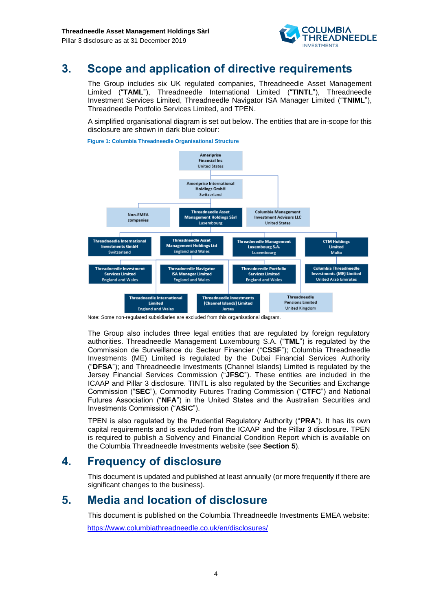

## **3. Scope and application of directive requirements**

The Group includes six UK regulated companies, Threadneedle Asset Management Limited ("**TAML**"), Threadneedle International Limited ("**TINTL**"), Threadneedle Investment Services Limited, Threadneedle Navigator ISA Manager Limited ("**TNIML**"), Threadneedle Portfolio Services Limited, and TPEN.

A simplified organisational diagram is set out below. The entities that are in-scope for this disclosure are shown in dark blue colour:

**Figure 1: Columbia Threadneedle Organisational Structure**



Note: Some non-regulated subsidiaries are excluded from this organisational diagram.

The Group also includes three legal entities that are regulated by foreign regulatory authorities. Threadneedle Management Luxembourg S.A. ("**TML**") is regulated by the Commission de Surveillance du Secteur Financier ("**CSSF**"); Columbia Threadneedle Investments (ME) Limited is regulated by the Dubai Financial Services Authority ("**DFSA**"); and Threadneedle Investments (Channel Islands) Limited is regulated by the Jersey Financial Services Commission ("**JFSC**"). These entities are included in the ICAAP and Pillar 3 disclosure. TINTL is also regulated by the Securities and Exchange Commission ("**SEC**"), Commodity Futures Trading Commission ("**CTFC**") and National Futures Association ("**NFA**") in the United States and the Australian Securities and Investments Commission ("**ASIC**").

TPEN is also regulated by the Prudential Regulatory Authority ("**PRA**"). It has its own capital requirements and is excluded from the ICAAP and the Pillar 3 disclosure. TPEN is required to publish a Solvency and Financial Condition Report which is available on the Columbia Threadneedle Investments website (see **Section 5**).

## <span id="page-3-0"></span>**4. Frequency of disclosure**

This document is updated and published at least annually (or more frequently if there are significant changes to the business).

## <span id="page-3-1"></span>**5. Media and location of disclosure**

This document is published on the Columbia Threadneedle Investments EMEA website: <https://www.columbiathreadneedle.co.uk/en/disclosures/>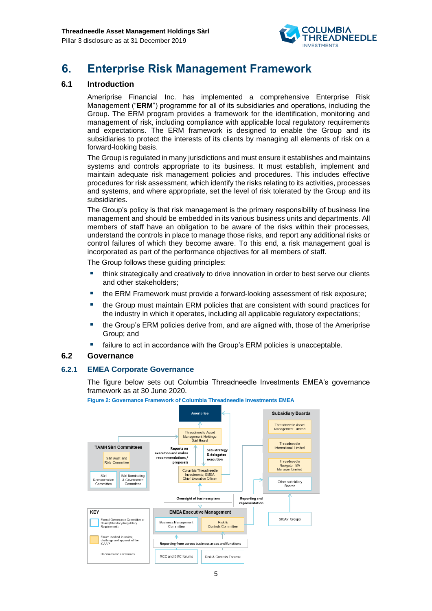

## <span id="page-4-0"></span>**6. Enterprise Risk Management Framework**

#### <span id="page-4-1"></span>**6.1 Introduction**

Ameriprise Financial Inc. has implemented a comprehensive Enterprise Risk Management ("**ERM**") programme for all of its subsidiaries and operations, including the Group. The ERM program provides a framework for the identification, monitoring and management of risk, including compliance with applicable local regulatory requirements and expectations. The ERM framework is designed to enable the Group and its subsidiaries to protect the interests of its clients by managing all elements of risk on a forward-looking basis.

The Group is regulated in many jurisdictions and must ensure it establishes and maintains systems and controls appropriate to its business. It must establish, implement and maintain adequate risk management policies and procedures. This includes effective procedures for risk assessment, which identify the risks relating to its activities, processes and systems, and where appropriate, set the level of risk tolerated by the Group and its subsidiaries.

The Group's policy is that risk management is the primary responsibility of business line management and should be embedded in its various business units and departments. All members of staff have an obligation to be aware of the risks within their processes, understand the controls in place to manage those risks, and report any additional risks or control failures of which they become aware. To this end, a risk management goal is incorporated as part of the performance objectives for all members of staff.

The Group follows these guiding principles:

- think strategically and creatively to drive innovation in order to best serve our clients and other stakeholders;
- the ERM Framework must provide a forward-looking assessment of risk exposure;
- the Group must maintain ERM policies that are consistent with sound practices for the industry in which it operates, including all applicable regulatory expectations;
- the Group's ERM policies derive from, and are aligned with, those of the Ameriprise Group; and
- failure to act in accordance with the Group's ERM policies is unacceptable.

#### <span id="page-4-2"></span>**6.2 Governance**

#### **6.2.1 EMEA Corporate Governance**

The figure below sets out Columbia Threadneedle Investments EMEA's governance framework as at 30 June 2020.



**Figure 2: Governance Framework of Columbia Threadneedle Investments EMEA**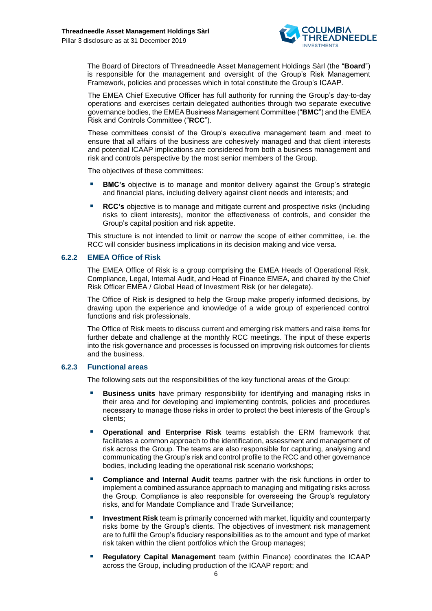

The Board of Directors of Threadneedle Asset Management Holdings Sàrl (the "**Board**") is responsible for the management and oversight of the Group's Risk Management Framework, policies and processes which in total constitute the Group's ICAAP.

The EMEA Chief Executive Officer has full authority for running the Group's day-to-day operations and exercises certain delegated authorities through two separate executive governance bodies, the EMEA Business Management Committee ("**BMC**") and the EMEA Risk and Controls Committee ("**RCC**").

These committees consist of the Group's executive management team and meet to ensure that all affairs of the business are cohesively managed and that client interests and potential ICAAP implications are considered from both a business management and risk and controls perspective by the most senior members of the Group.

The objectives of these committees:

- **BMC's** objective is to manage and monitor delivery against the Group's strategic and financial plans, including delivery against client needs and interests; and
- **RCC's** objective is to manage and mitigate current and prospective risks (including risks to client interests), monitor the effectiveness of controls, and consider the Group's capital position and risk appetite.

This structure is not intended to limit or narrow the scope of either committee, i.e. the RCC will consider business implications in its decision making and vice versa.

#### **6.2.2 EMEA Office of Risk**

The EMEA Office of Risk is a group comprising the EMEA Heads of Operational Risk, Compliance, Legal, Internal Audit, and Head of Finance EMEA, and chaired by the Chief Risk Officer EMEA / Global Head of Investment Risk (or her delegate).

The Office of Risk is designed to help the Group make properly informed decisions, by drawing upon the experience and knowledge of a wide group of experienced control functions and risk professionals.

The Office of Risk meets to discuss current and emerging risk matters and raise items for further debate and challenge at the monthly RCC meetings. The input of these experts into the risk governance and processes is focussed on improving risk outcomes for clients and the business.

#### **6.2.3 Functional areas**

The following sets out the responsibilities of the key functional areas of the Group:

- **Business units** have primary responsibility for identifying and managing risks in their area and for developing and implementing controls, policies and procedures necessary to manage those risks in order to protect the best interests of the Group's clients;
- **Operational and Enterprise Risk** teams establish the ERM framework that facilitates a common approach to the identification, assessment and management of risk across the Group. The teams are also responsible for capturing, analysing and communicating the Group's risk and control profile to the RCC and other governance bodies, including leading the operational risk scenario workshops;
- **Compliance and Internal Audit** teams partner with the risk functions in order to implement a combined assurance approach to managing and mitigating risks across the Group. Compliance is also responsible for overseeing the Group's regulatory risks, and for Mandate Compliance and Trade Surveillance;
- **Investment Risk** team is primarily concerned with market, liquidity and counterparty risks borne by the Group's clients. The objectives of investment risk management are to fulfil the Group's fiduciary responsibilities as to the amount and type of market risk taken within the client portfolios which the Group manages;
- **Regulatory Capital Management** team (within Finance) coordinates the ICAAP across the Group, including production of the ICAAP report; and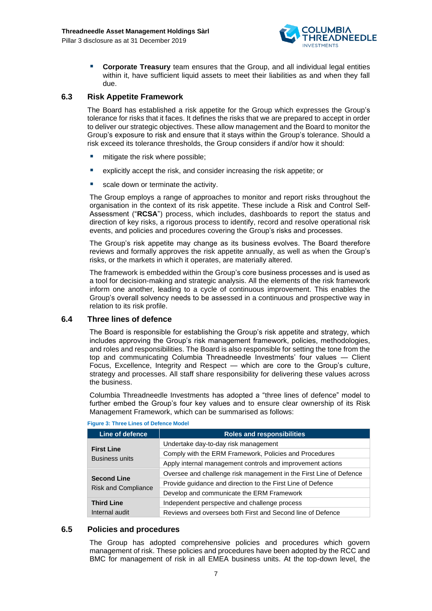

**Corporate Treasury** team ensures that the Group, and all individual legal entities within it, have sufficient liquid assets to meet their liabilities as and when they fall due.

#### <span id="page-6-0"></span>**6.3 Risk Appetite Framework**

The Board has established a risk appetite for the Group which expresses the Group's tolerance for risks that it faces. It defines the risks that we are prepared to accept in order to deliver our strategic objectives. These allow management and the Board to monitor the Group's exposure to risk and ensure that it stays within the Group's tolerance. Should a risk exceed its tolerance thresholds, the Group considers if and/or how it should:

- mitigate the risk where possible:
- explicitly accept the risk, and consider increasing the risk appetite; or
- scale down or terminate the activity.

The Group employs a range of approaches to monitor and report risks throughout the organisation in the context of its risk appetite. These include a Risk and Control Self-Assessment ("**RCSA**") process, which includes, dashboards to report the status and direction of key risks, a rigorous process to identify, record and resolve operational risk events, and policies and procedures covering the Group's risks and processes.

The Group's risk appetite may change as its business evolves. The Board therefore reviews and formally approves the risk appetite annually, as well as when the Group's risks, or the markets in which it operates, are materially altered.

The framework is embedded within the Group's core business processes and is used as a tool for decision-making and strategic analysis. All the elements of the risk framework inform one another, leading to a cycle of continuous improvement. This enables the Group's overall solvency needs to be assessed in a continuous and prospective way in relation to its risk profile.

#### <span id="page-6-1"></span>**6.4 Three lines of defence**

The Board is responsible for establishing the Group's risk appetite and strategy, which includes approving the Group's risk management framework, policies, methodologies, and roles and responsibilities. The Board is also responsible for setting the tone from the top and communicating Columbia Threadneedle Investments' four values — Client Focus, Excellence, Integrity and Respect — which are core to the Group's culture, strategy and processes. All staff share responsibility for delivering these values across the business.

Columbia Threadneedle Investments has adopted a "three lines of defence" model to further embed the Group's four key values and to ensure clear ownership of its Risk Management Framework, which can be summarised as follows:

| Line of defence                            | <b>Roles and responsibilities</b>                                  |
|--------------------------------------------|--------------------------------------------------------------------|
|                                            | Undertake day-to-day risk management                               |
| <b>First Line</b><br><b>Business units</b> | Comply with the ERM Framework, Policies and Procedures             |
|                                            | Apply internal management controls and improvement actions         |
|                                            | Oversee and challenge risk management in the First Line of Defence |
| <b>Second Line</b>                         | Provide guidance and direction to the First Line of Defence        |
| <b>Risk and Compliance</b>                 | Develop and communicate the ERM Framework                          |
| <b>Third Line</b>                          | Independent perspective and challenge process                      |
| Internal audit                             | Reviews and oversees both First and Second line of Defence         |



#### <span id="page-6-2"></span>**6.5 Policies and procedures**

The Group has adopted comprehensive policies and procedures which govern management of risk. These policies and procedures have been adopted by the RCC and BMC for management of risk in all EMEA business units. At the top-down level, the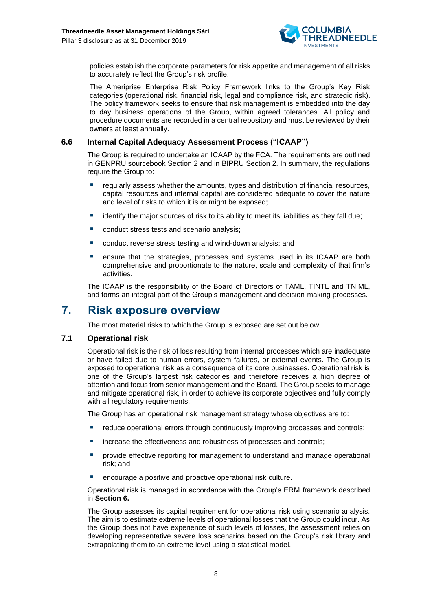

policies establish the corporate parameters for risk appetite and management of all risks to accurately reflect the Group's risk profile.

The Ameriprise Enterprise Risk Policy Framework links to the Group's Key Risk categories (operational risk, financial risk, legal and compliance risk, and strategic risk). The policy framework seeks to ensure that risk management is embedded into the day to day business operations of the Group, within agreed tolerances. All policy and procedure documents are recorded in a central repository and must be reviewed by their owners at least annually.

#### <span id="page-7-0"></span>**6.6 Internal Capital Adequacy Assessment Process ("ICAAP")**

The Group is required to undertake an ICAAP by the FCA. The requirements are outlined in GENPRU sourcebook Section 2 and in BIPRU Section 2. In summary, the regulations require the Group to:

- regularly assess whether the amounts, types and distribution of financial resources, capital resources and internal capital are considered adequate to cover the nature and level of risks to which it is or might be exposed;
- identify the major sources of risk to its ability to meet its liabilities as they fall due;
- conduct stress tests and scenario analysis;
- conduct reverse stress testing and wind-down analysis; and
- **E** ensure that the strategies, processes and systems used in its ICAAP are both comprehensive and proportionate to the nature, scale and complexity of that firm's activities.

The ICAAP is the responsibility of the Board of Directors of TAML, TINTL and TNIML, and forms an integral part of the Group's management and decision-making processes.

## <span id="page-7-1"></span>**7. Risk exposure overview**

The most material risks to which the Group is exposed are set out below.

#### <span id="page-7-2"></span>**7.1 Operational risk**

Operational risk is the risk of loss resulting from internal processes which are inadequate or have failed due to human errors, system failures, or external events. The Group is exposed to operational risk as a consequence of its core businesses. Operational risk is one of the Group's largest risk categories and therefore receives a high degree of attention and focus from senior management and the Board. The Group seeks to manage and mitigate operational risk, in order to achieve its corporate objectives and fully comply with all requiatory requirements.

The Group has an operational risk management strategy whose objectives are to:

- reduce operational errors through continuously improving processes and controls;
- increase the effectiveness and robustness of processes and controls:
- **•** provide effective reporting for management to understand and manage operational risk; and
- encourage a positive and proactive operational risk culture.

Operational risk is managed in accordance with the Group's ERM framework described in **Section 6.**

The Group assesses its capital requirement for operational risk using scenario analysis. The aim is to estimate extreme levels of operational losses that the Group could incur. As the Group does not have experience of such levels of losses, the assessment relies on developing representative severe loss scenarios based on the Group's risk library and extrapolating them to an extreme level using a statistical model.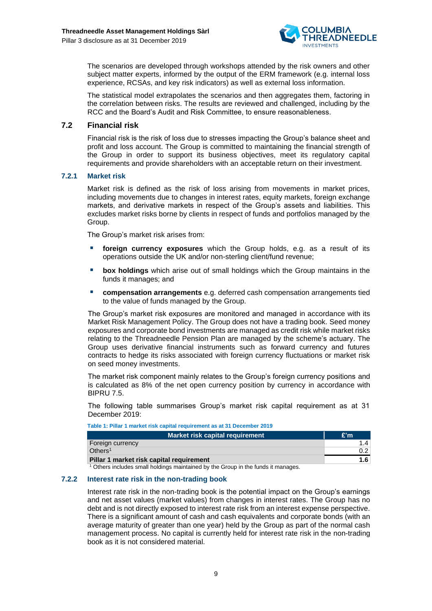

The scenarios are developed through workshops attended by the risk owners and other subject matter experts, informed by the output of the ERM framework (e.g. internal loss experience, RCSAs, and key risk indicators) as well as external loss information.

The statistical model extrapolates the scenarios and then aggregates them, factoring in the correlation between risks. The results are reviewed and challenged, including by the RCC and the Board's Audit and Risk Committee, to ensure reasonableness.

#### <span id="page-8-0"></span>**7.2 Financial risk**

Financial risk is the risk of loss due to stresses impacting the Group's balance sheet and profit and loss account. The Group is committed to maintaining the financial strength of the Group in order to support its business objectives, meet its regulatory capital requirements and provide shareholders with an acceptable return on their investment.

#### **7.2.1 Market risk**

Market risk is defined as the risk of loss arising from movements in market prices, including movements due to changes in interest rates, equity markets, foreign exchange markets, and derivative markets in respect of the Group's assets and liabilities. This excludes market risks borne by clients in respect of funds and portfolios managed by the Group.

The Group's market risk arises from:

- foreign currency exposures which the Group holds, e.g. as a result of its operations outside the UK and/or non-sterling client/fund revenue;
- **E** box holdings which arise out of small holdings which the Group maintains in the funds it manages; and
- **EXECOMPERTY COMPERTED EXECOMPERTED EXECOMPLE THE COMPONENT COMPONENT COMPONENT COMPONENT COMPONENT COMPONENT COMPONENT COMPONENT COMPONENT COMPONENT COMPONENT COMPONENT COMPONENT COMPONENT COMPONENT COMPONENT COMPONENT CO** to the value of funds managed by the Group.

The Group's market risk exposures are monitored and managed in accordance with its Market Risk Management Policy. The Group does not have a trading book. Seed money exposures and corporate bond investments are managed as credit risk while market risks relating to the Threadneedle Pension Plan are managed by the scheme's actuary. The Group uses derivative financial instruments such as forward currency and futures contracts to hedge its risks associated with foreign currency fluctuations or market risk on seed money investments.

The market risk component mainly relates to the Group's foreign currency positions and is calculated as 8% of the net open currency position by currency in accordance with BIPRU 7.5.

The following table summarises Group's market risk capital requirement as at 31 December 2019:

| Table 1: Pillar 1 market risk capital requirement as at 31 December 2019 |
|--------------------------------------------------------------------------|
|--------------------------------------------------------------------------|

| Market risk capital requirement          | £'m |
|------------------------------------------|-----|
| Foreign currency                         |     |
| Others <sup>1</sup>                      |     |
| Pillar 1 market risk capital requirement |     |

<sup>1</sup> Others includes small holdings maintained by the Group in the funds it manages.

#### **7.2.2 Interest rate risk in the non-trading book**

Interest rate risk in the non-trading book is the potential impact on the Group's earnings and net asset values (market values) from changes in interest rates. The Group has no debt and is not directly exposed to interest rate risk from an interest expense perspective. There is a significant amount of cash and cash equivalents and corporate bonds (with an average maturity of greater than one year) held by the Group as part of the normal cash management process. No capital is currently held for interest rate risk in the non-trading book as it is not considered material.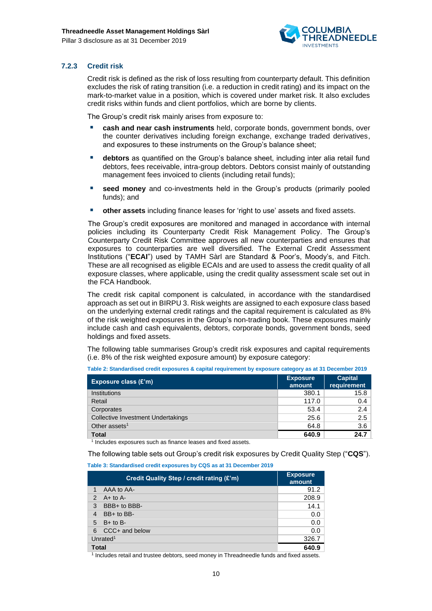

#### **7.2.3 Credit risk**

Credit risk is defined as the risk of loss resulting from counterparty default. This definition excludes the risk of rating transition (i.e. a reduction in credit rating) and its impact on the mark-to-market value in a position, which is covered under market risk. It also excludes credit risks within funds and client portfolios, which are borne by clients.

The Group's credit risk mainly arises from exposure to:

- **cash and near cash instruments** held, corporate bonds, government bonds, over the counter derivatives including foreign exchange, exchange traded derivatives, and exposures to these instruments on the Group's balance sheet;
- **E** debtors as quantified on the Group's balance sheet, including inter alia retail fund debtors, fees receivable, intra-group debtors. Debtors consist mainly of outstanding management fees invoiced to clients (including retail funds):
- seed money and co-investments held in the Group's products (primarily pooled funds); and
- other assets including finance leases for 'right to use' assets and fixed assets.

The Group's credit exposures are monitored and managed in accordance with internal policies including its Counterparty Credit Risk Management Policy. The Group's Counterparty Credit Risk Committee approves all new counterparties and ensures that exposures to counterparties are well diversified. The External Credit Assessment Institutions ("**ECAI**") used by TAMH Sàrl are Standard & Poor's, Moody's, and Fitch. These are all recognised as eligible ECAIs and are used to assess the credit quality of all exposure classes, where applicable, using the credit quality assessment scale set out in the FCA Handbook.

The credit risk capital component is calculated, in accordance with the standardised approach as set out in BIRPU 3. Risk weights are assigned to each exposure class based on the underlying external credit ratings and the capital requirement is calculated as 8% of the risk weighted exposures in the Group's non-trading book. These exposures mainly include cash and cash equivalents, debtors, corporate bonds, government bonds, seed holdings and fixed assets.

The following table summarises Group's credit risk exposures and capital requirements (i.e. 8% of the risk weighted exposure amount) by exposure category:

| Exposure class $(E'm)$             | <b>Exposure</b><br>amount | <b>Capital</b><br>requirement |
|------------------------------------|---------------------------|-------------------------------|
| Institutions                       | 380.1                     | 15.8                          |
| Retail                             | 117.0                     | 0.4                           |
| Corporates                         | 53.4                      | 2.4                           |
| Collective Investment Undertakings | 25.6                      | 2.5                           |
| Other assets <sup>1</sup>          | 64.8                      | 3.6                           |
| <b>Total</b>                       | 640.9                     | 24.7                          |

**Table 2: Standardised credit exposures & capital requirement by exposure category as at 31 December 2019**

<sup>1</sup> Includes exposures such as finance leases and fixed assets.

The following table sets out Group's credit risk exposures by Credit Quality Step ("**CQS**").

**Table 3: Standardised credit exposures by CQS as at 31 December 2019**

|                      | <b>Exposure</b><br>amount |       |
|----------------------|---------------------------|-------|
| 1                    | AAA to AA-                | 91.2  |
| $\mathcal{P}$        | $A+$ to $A-$              | 208.9 |
| 3                    | BBB+ to BBB-              | 14.1  |
| 4                    | BB+ to BB-                | 0.0   |
| 5                    | $B+$ to $B-$              | 0.0   |
| 6                    | CCC+ and below            | 0.0   |
| Unrated <sup>1</sup> |                           | 326.7 |
| Total                |                           | 640.9 |

<sup>1</sup> Includes retail and trustee debtors, seed money in Threadneedle funds and fixed assets.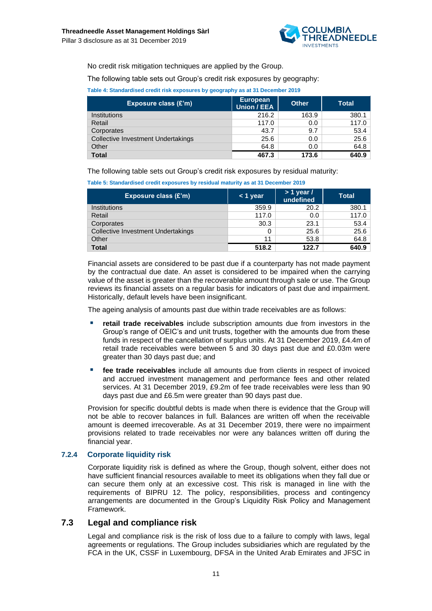

No credit risk mitigation techniques are applied by the Group.

The following table sets out Group's credit risk exposures by geography:

**Table 4: Standardised credit risk exposures by geography as at 31 December 2019**

| Exposure class (£'m)                      | <b>European</b><br>Union / EEA | <b>Other</b> | <b>Total</b> |
|-------------------------------------------|--------------------------------|--------------|--------------|
| <b>Institutions</b>                       | 216.2                          | 163.9        | 380.1        |
| Retail                                    | 117.0                          | 0.0          | 117.0        |
| Corporates                                | 43.7                           | 9.7          | 53.4         |
| <b>Collective Investment Undertakings</b> | 25.6                           | 0.0          | 25.6         |
| Other                                     | 64.8                           | 0.0          | 64.8         |
| <b>Total</b>                              | 467.3                          | 173.6        | 640.9        |

The following table sets out Group's credit risk exposures by residual maturity:

| Exposure class $(E'm)$                    | $<$ 1 year | $> 1$ year /<br>undefined | <b>Total</b> |
|-------------------------------------------|------------|---------------------------|--------------|
| <b>Institutions</b>                       | 359.9      | 20.2                      | 380.1        |
| Retail                                    | 117.0      | 0.0                       | 117.0        |
| Corporates                                | 30.3       | 23.1                      | 53.4         |
| <b>Collective Investment Undertakings</b> |            | 25.6                      | 25.6         |
| Other                                     | 11         | 53.8                      | 64.8         |
| <b>Total</b>                              | 518.2      | 122.7                     | 640.9        |

Financial assets are considered to be past due if a counterparty has not made payment by the contractual due date. An asset is considered to be impaired when the carrying value of the asset is greater than the recoverable amount through sale or use. The Group reviews its financial assets on a regular basis for indicators of past due and impairment. Historically, default levels have been insignificant.

The ageing analysis of amounts past due within trade receivables are as follows:

- **retail trade receivables** include subscription amounts due from investors in the Group's range of OEIC's and unit trusts, together with the amounts due from these funds in respect of the cancellation of surplus units. At 31 December 2019, £4.4m of retail trade receivables were between 5 and 30 days past due and £0.03m were greater than 30 days past due; and
- **fee trade receivables** include all amounts due from clients in respect of invoiced and accrued investment management and performance fees and other related services. At 31 December 2019, £9.2m of fee trade receivables were less than 90 days past due and £6.5m were greater than 90 days past due.

Provision for specific doubtful debts is made when there is evidence that the Group will not be able to recover balances in full. Balances are written off when the receivable amount is deemed irrecoverable. As at 31 December 2019, there were no impairment provisions related to trade receivables nor were any balances written off during the financial year.

#### **7.2.4 Corporate liquidity risk**

Corporate liquidity risk is defined as where the Group, though solvent, either does not have sufficient financial resources available to meet its obligations when they fall due or can secure them only at an excessive cost. This risk is managed in line with the requirements of BIPRU 12. The policy, responsibilities, process and contingency arrangements are documented in the Group's Liquidity Risk Policy and Management Framework.

#### **7.3 Legal and compliance risk**

<span id="page-10-0"></span>Legal and compliance risk is the risk of loss due to a failure to comply with laws, legal agreements or regulations. The Group includes subsidiaries which are regulated by the FCA in the UK, CSSF in Luxembourg, DFSA in the United Arab Emirates and JFSC in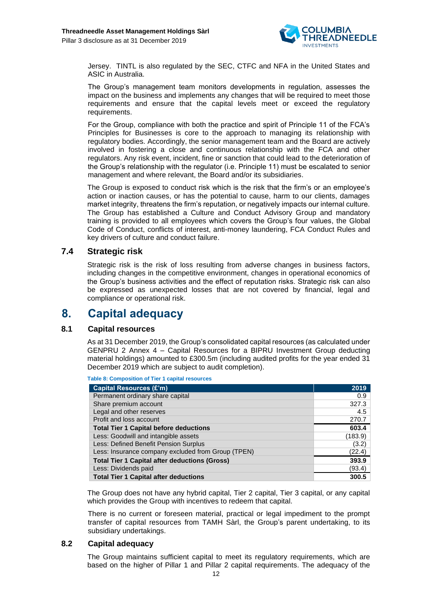

Jersey. TINTL is also regulated by the SEC, CTFC and NFA in the United States and ASIC in Australia.

The Group's management team monitors developments in regulation, assesses the impact on the business and implements any changes that will be required to meet those requirements and ensure that the capital levels meet or exceed the regulatory requirements.

For the Group, compliance with both the practice and spirit of Principle 11 of the FCA's Principles for Businesses is core to the approach to managing its relationship with regulatory bodies. Accordingly, the senior management team and the Board are actively involved in fostering a close and continuous relationship with the FCA and other regulators. Any risk event, incident, fine or sanction that could lead to the deterioration of the Group's relationship with the regulator (i.e. Principle 11) must be escalated to senior management and where relevant, the Board and/or its subsidiaries.

The Group is exposed to conduct risk which is the risk that the firm's or an employee's action or inaction causes, or has the potential to cause, harm to our clients, damages market integrity, threatens the firm's reputation, or negatively impacts our internal culture. The Group has established a Culture and Conduct Advisory Group and mandatory training is provided to all employees which covers the Group's four values, the Global Code of Conduct, conflicts of interest, anti-money laundering, FCA Conduct Rules and key drivers of culture and conduct failure.

#### <span id="page-11-0"></span>**7.4 Strategic risk**

Strategic risk is the risk of loss resulting from adverse changes in business factors, including changes in the competitive environment, changes in operational economics of the Group's business activities and the effect of reputation risks. Strategic risk can also be expressed as unexpected losses that are not covered by financial, legal and compliance or operational risk.

## <span id="page-11-1"></span>**8. Capital adequacy**

#### **8.1 Capital resources**

<span id="page-11-2"></span>As at 31 December 2019, the Group's consolidated capital resources (as calculated under GENPRU 2 Annex 4 – Capital Resources for a BIPRU Investment Group deducting material holdings) amounted to £300.5m (including audited profits for the year ended 31 December 2019 which are subject to audit completion).

**Table 8: Composition of Tier 1 capital resources**

| <b>Capital Resources (£'m)</b>                       | 2019    |
|------------------------------------------------------|---------|
| Permanent ordinary share capital                     | 0.9     |
| Share premium account                                | 327.3   |
| Legal and other reserves                             | 4.5     |
| Profit and loss account                              | 270.7   |
| <b>Total Tier 1 Capital before deductions</b>        | 603.4   |
| Less: Goodwill and intangible assets                 | (183.9) |
| Less: Defined Benefit Pension Surplus                | (3.2)   |
| Less: Insurance company excluded from Group (TPEN)   | (22.4)  |
| <b>Total Tier 1 Capital after deductions (Gross)</b> | 393.9   |
| Less: Dividends paid                                 | (93.4)  |
| <b>Total Tier 1 Capital after deductions</b>         | 300.5   |

The Group does not have any hybrid capital, Tier 2 capital, Tier 3 capital, or any capital which provides the Group with incentives to redeem that capital.

There is no current or foreseen material, practical or legal impediment to the prompt transfer of capital resources from TAMH Sàrl, the Group's parent undertaking, to its subsidiary undertakings.

#### **8.2 Capital adequacy**

<span id="page-11-3"></span>The Group maintains sufficient capital to meet its regulatory requirements, which are based on the higher of Pillar 1 and Pillar 2 capital requirements. The adequacy of the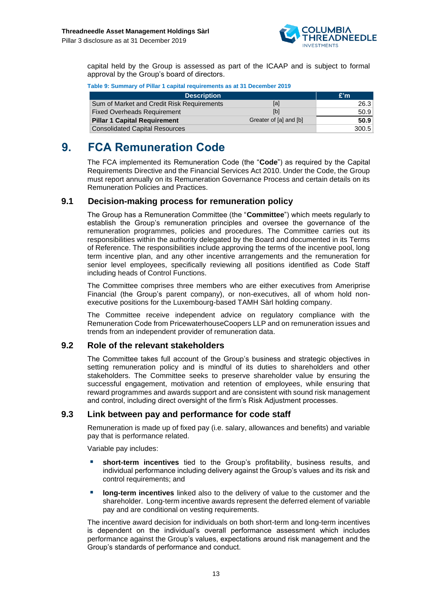

capital held by the Group is assessed as part of the ICAAP and is subject to formal approval by the Group's board of directors.

| Table 9: Summary of Pillar 1 capital requirements as at 31 December 2019 |  |  |  |  |  |  |
|--------------------------------------------------------------------------|--|--|--|--|--|--|
|--------------------------------------------------------------------------|--|--|--|--|--|--|

| <b>Description</b>                         |                        | E'm   |
|--------------------------------------------|------------------------|-------|
| Sum of Market and Credit Risk Requirements | [a]                    | 26.3  |
| <b>Fixed Overheads Requirement</b>         | [b]                    | 50.9  |
| <b>Pillar 1 Capital Requirement</b>        | Greater of [a] and [b] | 50.9  |
| <b>Consolidated Capital Resources</b>      |                        | 300.5 |

## <span id="page-12-0"></span>**9. FCA Remuneration Code**

The FCA implemented its Remuneration Code (the "**Code**") as required by the Capital Requirements Directive and the Financial Services Act 2010. Under the Code, the Group must report annually on its Remuneration Governance Process and certain details on its Remuneration Policies and Practices.

#### **9.1 Decision-making process for remuneration policy**

<span id="page-12-1"></span>The Group has a Remuneration Committee (the "**Committee**") which meets regularly to establish the Group's remuneration principles and oversee the governance of the remuneration programmes, policies and procedures. The Committee carries out its responsibilities within the authority delegated by the Board and documented in its Terms of Reference. The responsibilities include approving the terms of the incentive pool, long term incentive plan, and any other incentive arrangements and the remuneration for senior level employees, specifically reviewing all positions identified as Code Staff including heads of Control Functions.

The Committee comprises three members who are either executives from Ameriprise Financial (the Group's parent company), or non-executives, all of whom hold nonexecutive positions for the Luxembourg-based TAMH Sàrl holding company.

The Committee receive independent advice on regulatory compliance with the Remuneration Code from PricewaterhouseCoopers LLP and on remuneration issues and trends from an independent provider of remuneration data.

#### <span id="page-12-2"></span>**9.2 Role of the relevant stakeholders**

The Committee takes full account of the Group's business and strategic objectives in setting remuneration policy and is mindful of its duties to shareholders and other stakeholders. The Committee seeks to preserve shareholder value by ensuring the successful engagement, motivation and retention of employees, while ensuring that reward programmes and awards support and are consistent with sound risk management and control, including direct oversight of the firm's Risk Adjustment processes.

#### <span id="page-12-3"></span>**9.3 Link between pay and performance for code staff**

Remuneration is made up of fixed pay (i.e. salary, allowances and benefits) and variable pay that is performance related.

Variable pay includes:

- short-term incentives tied to the Group's profitability, business results, and individual performance including delivery against the Group's values and its risk and control requirements; and
- **EXED IDOM-term incentives** linked also to the delivery of value to the customer and the shareholder. Long-term incentive awards represent the deferred element of variable pay and are conditional on vesting requirements.

The incentive award decision for individuals on both short-term and long-term incentives is dependent on the individual's overall performance assessment which includes performance against the Group's values, expectations around risk management and the Group's standards of performance and conduct.